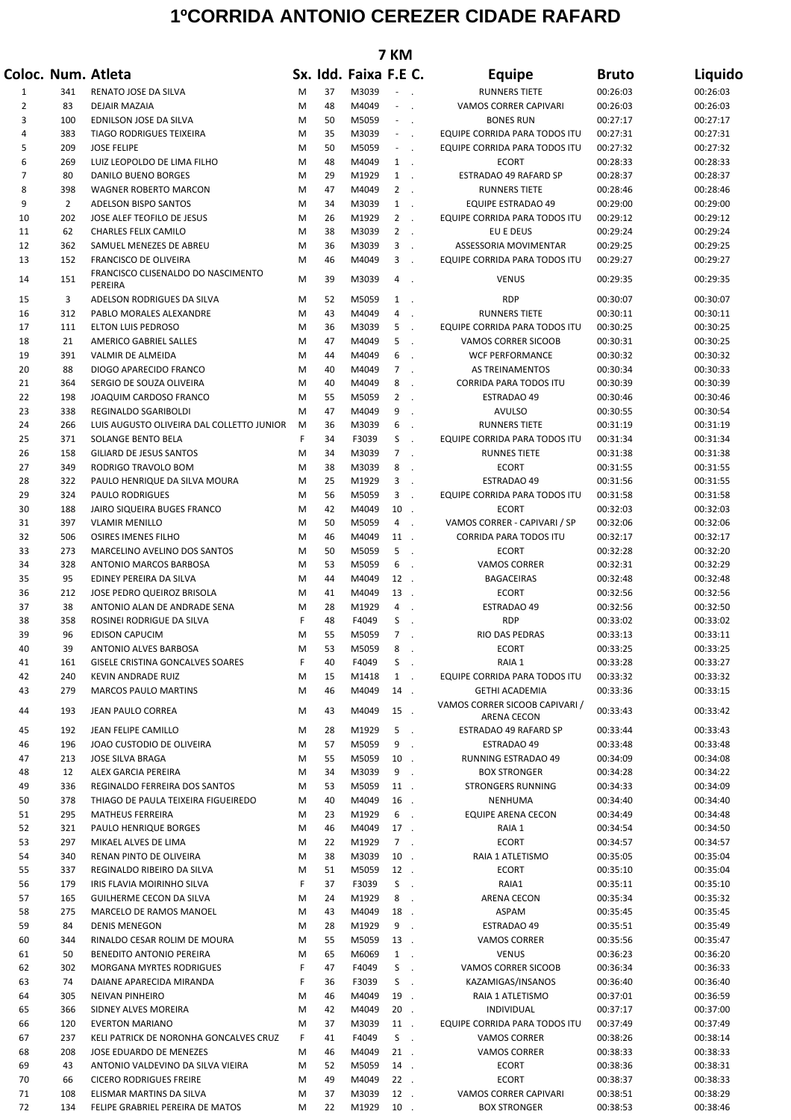## **1ºCORRIDA ANTONIO CEREZER CIDADE RAFARD**

| 7 KM           |                       |                                                      |        |          |                       |                |                            |                                                     |                      |                      |
|----------------|-----------------------|------------------------------------------------------|--------|----------|-----------------------|----------------|----------------------------|-----------------------------------------------------|----------------------|----------------------|
|                |                       | Coloc. Num. Atleta                                   |        |          | Sx. Idd. Faixa F.E C. |                |                            | <b>Equipe</b>                                       | <b>Bruto</b>         | Liquido              |
| 1              | 341                   | RENATO JOSE DA SILVA                                 | M      | 37       | M3039                 |                |                            | <b>RUNNERS TIETE</b>                                | 00:26:03             | 00:26:03             |
| $\overline{2}$ | 83                    | DEJAIR MAZAIA                                        | M      | 48       | M4049                 | $\sim$ $\sim$  |                            | VAMOS CORRER CAPIVARI                               | 00:26:03             | 00:26:03             |
| 3              | 100                   | EDNILSON JOSE DA SILVA                               | M      | 50       | M5059                 | $\sim 10$      |                            | <b>BONES RUN</b>                                    | 00:27:17             | 00:27:17             |
| 4              | 383                   | TIAGO RODRIGUES TEIXEIRA                             | М      | 35       | M3039                 | $\sim 10$      |                            | EQUIPE CORRIDA PARA TODOS ITU                       | 00:27:31             | 00:27:31             |
| 5              | 209                   | <b>JOSE FELIPE</b>                                   | M      | 50       | M5059                 | $\sim 10$      |                            | EQUIPE CORRIDA PARA TODOS ITU                       | 00:27:32             | 00:27:32             |
| 6              | 269                   | LUIZ LEOPOLDO DE LIMA FILHO                          | М      | 48       | M4049                 | 1.             |                            | <b>ECORT</b>                                        | 00:28:33             | 00:28:33             |
| 7              | 80                    | DANILO BUENO BORGES                                  | М      | 29       | M1929                 | $1$ .          |                            | ESTRADAO 49 RAFARD SP                               | 00:28:37             | 00:28:37             |
| 8<br>9         | 398<br>$\overline{2}$ | WAGNER ROBERTO MARCON<br><b>ADELSON BISPO SANTOS</b> | M      | 47<br>34 | M4049                 | $2$ .          |                            | <b>RUNNERS TIETE</b>                                | 00:28:46             | 00:28:46<br>00:29:00 |
| 10             | 202                   | JOSE ALEF TEOFILO DE JESUS                           | М<br>М | 26       | M3039<br>M1929        | 1.<br>$2$ .    |                            | EQUIPE ESTRADAO 49<br>EQUIPE CORRIDA PARA TODOS ITU | 00:29:00<br>00:29:12 | 00:29:12             |
| 11             | 62                    | <b>CHARLES FELIX CAMILO</b>                          | M      | 38       | M3039                 | $2$ .          |                            | EU E DEUS                                           | 00:29:24             | 00:29:24             |
| 12             | 362                   | SAMUEL MENEZES DE ABREU                              | M      | 36       | M3039                 | 3              | $\mathcal{L}$              | ASSESSORIA MOVIMENTAR                               | 00:29:25             | 00:29:25             |
| 13             | 152                   | FRANCISCO DE OLIVEIRA                                | M      | 46       | M4049                 | 3              | $\ddot{\phantom{a}}$       | EQUIPE CORRIDA PARA TODOS ITU                       | 00:29:27             | 00:29:27             |
| 14             | 151                   | FRANCISCO CLISENALDO DO NASCIMENTO<br>PEREIRA        | м      | 39       | M3039                 | 4.             |                            | <b>VENUS</b>                                        | 00:29:35             | 00:29:35             |
| 15             | 3                     | ADELSON RODRIGUES DA SILVA                           | M      | 52       | M5059                 | 1.             |                            | <b>RDP</b>                                          | 00:30:07             | 00:30:07             |
| 16             | 312                   | PABLO MORALES ALEXANDRE                              | M      | 43       | M4049                 | 4              | $\mathcal{L}_{\mathbf{z}}$ | <b>RUNNERS TIETE</b>                                | 00:30:11             | 00:30:11             |
| 17             | 111                   | <b>ELTON LUIS PEDROSO</b>                            | M      | 36       | M3039                 | 5              | $\ddot{\phantom{a}}$       | EQUIPE CORRIDA PARA TODOS ITU                       | 00:30:25             | 00:30:25             |
| 18             | 21                    | AMERICO GABRIEL SALLES                               | М      | 47       | M4049                 | 5              | $\mathcal{L}$              | VAMOS CORRER SICOOB                                 | 00:30:31             | 00:30:25             |
| 19             | 391                   | VALMIR DE ALMEIDA                                    | M      | 44       | M4049                 | 6              |                            | <b>WCF PERFORMANCE</b>                              | 00:30:32             | 00:30:32             |
| 20             | 88                    | DIOGO APARECIDO FRANCO                               | М      | 40       | M4049                 | $\overline{7}$ | $\ddot{\phantom{a}}$       | AS TREINAMENTOS                                     | 00:30:34             | 00:30:33             |
| 21             | 364                   | SERGIO DE SOUZA OLIVEIRA                             | M      | 40       | M4049                 | 8              | $\ddot{\phantom{a}}$       | <b>CORRIDA PARA TODOS ITU</b>                       | 00:30:39             | 00:30:39             |
| 22             | 198                   | JOAQUIM CARDOSO FRANCO                               | M      | 55       | M5059                 | $\overline{2}$ | $\mathcal{L}$              | <b>ESTRADAO 49</b>                                  | 00:30:46             | 00:30:46             |
| 23             | 338                   | REGINALDO SGARIBOLDI                                 | м      | 47       | M4049                 | 9              |                            | AVULSO                                              | 00:30:55             | 00:30:54             |
| 24             | 266                   | LUIS AUGUSTO OLIVEIRA DAL COLLETTO JUNIOR            | M      | 36       | M3039                 | 6              | $\cdot$                    | <b>RUNNERS TIETE</b>                                | 00:31:19             | 00:31:19             |
| 25             | 371                   | SOLANGE BENTO BELA                                   | F      | 34       | F3039                 | S              | $\overline{\phantom{a}}$   | EQUIPE CORRIDA PARA TODOS ITU                       | 00:31:34             | 00:31:34             |
| 26             | 158                   | GILIARD DE JESUS SANTOS                              | M      | 34       | M3039                 | 7 <sup>7</sup> | $\mathcal{A}$              | <b>RUNNES TIETE</b>                                 | 00:31:38             | 00:31:38             |
| 27             | 349                   | RODRIGO TRAVOLO BOM                                  | M      | 38       | M3039                 | 8              | $\overline{a}$             | ECORT                                               | 00:31:55             | 00:31:55             |
| 28             | 322                   | PAULO HENRIQUE DA SILVA MOURA                        | М      | 25       | M1929                 | 3              | $\mathcal{L}_{\mathbf{z}}$ | <b>ESTRADAO 49</b>                                  | 00:31:56             | 00:31:55             |
| 29             | 324                   | <b>PAULO RODRIGUES</b>                               | М      | 56       | M5059                 | 3              | $\ddot{\phantom{a}}$       | EQUIPE CORRIDA PARA TODOS ITU                       | 00:31:58             | 00:31:58             |
| 30             | 188                   | JAIRO SIQUEIRA BUGES FRANCO                          | М      | 42       | M4049                 | $10$ .         |                            | <b>ECORT</b>                                        | 00:32:03             | 00:32:03             |
| 31             | 397                   | <b>VLAMIR MENILLO</b>                                | М      | 50<br>46 | M5059                 | 4.             |                            | VAMOS CORRER - CAPIVARI / SP                        | 00:32:06             | 00:32:06             |
| 32<br>33       | 506<br>273            | OSIRES IMENES FILHO<br>MARCELINO AVELINO DOS SANTOS  | М<br>М | 50       | M4049<br>M5059        | 11.<br>5       | $\mathcal{L}_{\mathbf{r}}$ | CORRIDA PARA TODOS ITU<br><b>ECORT</b>              | 00:32:17<br>00:32:28 | 00:32:17<br>00:32:20 |
| 34             | 328                   | ANTONIO MARCOS BARBOSA                               | М      | 53       | M5059                 | 6              | $\ddot{\phantom{a}}$       | <b>VAMOS CORRER</b>                                 | 00:32:31             | 00:32:29             |
| 35             | 95                    | EDINEY PEREIRA DA SILVA                              | М      | 44       | M4049                 | 12.            |                            | <b>BAGACEIRAS</b>                                   | 00:32:48             | 00:32:48             |
| 36             | 212                   | JOSE PEDRO QUEIROZ BRISOLA                           | М      | 41       | M4049                 | 13.            |                            | ECORT                                               | 00:32:56             | 00:32:56             |
| 37             | 38                    | ANTONIO ALAN DE ANDRADE SENA                         | M      | 28       | M1929                 | 4              | $\ddot{\phantom{a}}$       | <b>ESTRADAO 49</b>                                  | 00:32:56             | 00:32:50             |
| 38             | 358                   | ROSINEI RODRIGUE DA SILVA                            | F      | 48       | F4049                 | S              |                            | <b>RDP</b>                                          | 00:33:02             | 00:33:02             |
| 39             | 96                    | <b>EDISON CAPUCIM</b>                                | M      | 55       | M5059                 | 7              |                            | <b>RIO DAS PEDRAS</b>                               | 00:33:13             | 00:33:11             |
| 40             | 39                    | ANTONIO ALVES BARBOSA                                | M      | 53       | M5059                 | 8              | $\cdot$                    | ECORT                                               | 00:33:25             | 00:33:25             |
| 41             | 161                   | GISELE CRISTINA GONCALVES SOARES                     | F      | 40       | F4049                 | S              | $\sim$                     | RAIA 1                                              | 00:33:28             | 00:33:27             |
| 42             | 240                   | KEVIN ANDRADE RUIZ                                   | M      | 15       | M1418                 | $1$ .          |                            | EQUIPE CORRIDA PARA TODOS ITU                       | 00:33:32             | 00:33:32             |
| 43             | 279                   | <b>MARCOS PAULO MARTINS</b>                          | M      | 46       | M4049                 | 14.            |                            | <b>GETHI ACADEMIA</b>                               | 00:33:36             | 00:33:15             |
| 44             | 193                   | JEAN PAULO CORREA                                    | М      | 43       | M4049                 | 15.            |                            | VAMOS CORRER SICOOB CAPIVARI /<br>ARENA CECON       | 00:33:43             | 00:33:42             |
| 45             | 192                   | JEAN FELIPE CAMILLO                                  | M      | 28       | M1929                 | 5.             |                            | ESTRADAO 49 RAFARD SP                               | 00:33:44             | 00:33:43             |
| 46             | 196                   | JOAO CUSTODIO DE OLIVEIRA                            | М      | 57       | M5059                 | 9              | $\ddot{\phantom{a}}$       | ESTRADAO 49                                         | 00:33:48             | 00:33:48             |
| 47             | 213                   | <b>JOSE SILVA BRAGA</b>                              | М      | 55       | M5059                 | $10$ .         |                            | RUNNING ESTRADAO 49                                 | 00:34:09             | 00:34:08             |
| 48             | 12                    | ALEX GARCIA PEREIRA                                  | M      | 34       | M3039                 | 9.             |                            | <b>BOX STRONGER</b>                                 | 00:34:28             | 00:34:22             |
| 49             | 336                   | REGINALDO FERREIRA DOS SANTOS                        | М      | 53       | M5059                 | 11.            |                            | <b>STRONGERS RUNNING</b>                            | 00:34:33             | 00:34:09             |
| 50             | 378                   | THIAGO DE PAULA TEIXEIRA FIGUEIREDO                  | М      | 40       | M4049                 | 16.            |                            | <b>NENHUMA</b>                                      | 00:34:40             | 00:34:40             |
| 51             | 295                   | <b>MATHEUS FERREIRA</b>                              | Μ      | 23       | M1929                 | 6.             |                            | <b>EQUIPE ARENA CECON</b>                           | 00:34:49             | 00:34:48             |
| 52             | 321                   | PAULO HENRIQUE BORGES                                | М      | 46       | M4049                 | 17.            |                            | RAIA 1                                              | 00:34:54             | 00:34:50             |
| 53             | 297                   | MIKAEL ALVES DE LIMA                                 | M      | 22       | M1929                 | $7$ .          |                            | <b>ECORT</b>                                        | 00:34:57             | 00:34:57             |
| 54             | 340                   | RENAN PINTO DE OLIVEIRA                              | М      | 38       | M3039                 | $10$ .         |                            | RAIA 1 ATLETISMO                                    | 00:35:05             | 00:35:04             |
| 55             | 337                   | REGINALDO RIBEIRO DA SILVA                           | M      | 51       | M5059                 | 12.            |                            | <b>ECORT</b>                                        | 00:35:10             | 00:35:04             |
| 56             | 179                   | IRIS FLAVIA MOIRINHO SILVA                           | F      | 37       | F3039                 | $S$ .          |                            | RAIA1                                               | 00:35:11             | 00:35:10             |
| 57             | 165                   | GUILHERME CECON DA SILVA                             | М      | 24       | M1929                 | 8.             |                            | ARENA CECON                                         | 00:35:34             | 00:35:32             |
| 58             | 275                   | MARCELO DE RAMOS MANOEL                              | М      | 43       | M4049                 | 18.            |                            | <b>ASPAM</b>                                        | 00:35:45             | 00:35:45             |
| 59             | 84                    | <b>DENIS MENEGON</b>                                 | M      | 28       | M1929                 | 9              | $\sim$                     | ESTRADAO 49                                         | 00:35:51             | 00:35:49             |
| 60             | 344                   | RINALDO CESAR ROLIM DE MOURA                         | M      | 55       | M5059                 | 13.            |                            | <b>VAMOS CORRER</b>                                 | 00:35:56             | 00:35:47             |
| 61<br>62       | 50<br>302             | BENEDITO ANTONIO PEREIRA<br>MORGANA MYRTES RODRIGUES | M<br>F | 65<br>47 | M6069<br>F4049        | $1$ .<br>S.    |                            | <b>VENUS</b><br>VAMOS CORRER SICOOB                 | 00:36:23<br>00:36:34 | 00:36:20<br>00:36:33 |
|                |                       |                                                      |        |          |                       |                | $\sim$                     |                                                     |                      |                      |
| 63<br>64       | 74<br>305             | DAIANE APARECIDA MIRANDA<br><b>NEIVAN PINHEIRO</b>   | F<br>М | 36<br>46 | F3039<br>M4049        | S.<br>19.      | $\sim$                     | KAZAMIGAS/INSANOS                                   | 00:36:40             | 00:36:40<br>00:36:59 |
| 65             | 366                   | SIDNEY ALVES MOREIRA                                 | M      | 42       | M4049                 | $20$ .         |                            | RAIA 1 ATLETISMO<br>INDIVIDUAL                      | 00:37:01<br>00:37:17 | 00:37:00             |
| 66             | 120                   | <b>EVERTON MARIANO</b>                               | M      | 37       | M3039                 | 11.            |                            | EQUIPE CORRIDA PARA TODOS ITU                       | 00:37:49             | 00:37:49             |
| 67             | 237                   | KELI PATRICK DE NORONHA GONCALVES CRUZ               | F      | 41       | F4049                 | $S$ .          |                            | <b>VAMOS CORRER</b>                                 | 00:38:26             | 00:38:14             |
| 68             | 208                   | JOSE EDUARDO DE MENEZES                              | М      | 46       | M4049                 | $21$ .         |                            | <b>VAMOS CORRER</b>                                 | 00:38:33             | 00:38:33             |
| 69             | 43                    | ANTONIO VALDEVINO DA SILVA VIEIRA                    | М      | 52       | M5059                 | 14.            |                            | <b>ECORT</b>                                        | 00:38:36             | 00:38:31             |
| 70             | 66                    | <b>CICERO RODRIGUES FREIRE</b>                       | М      | 49       | M4049                 | $22$ .         |                            | <b>ECORT</b>                                        | 00:38:37             | 00:38:33             |
| 71             | 108                   | ELISMAR MARTINS DA SILVA                             | М      | 37       | M3039                 | $12$ .         |                            | VAMOS CORRER CAPIVARI                               | 00:38:51             | 00:38:29             |
| 72             | 134                   | FELIPE GRABRIEL PEREIRA DE MATOS                     | M      | 22       | M1929                 | $10$ .         |                            | <b>BOX STRONGER</b>                                 | 00:38:53             | 00:38:46             |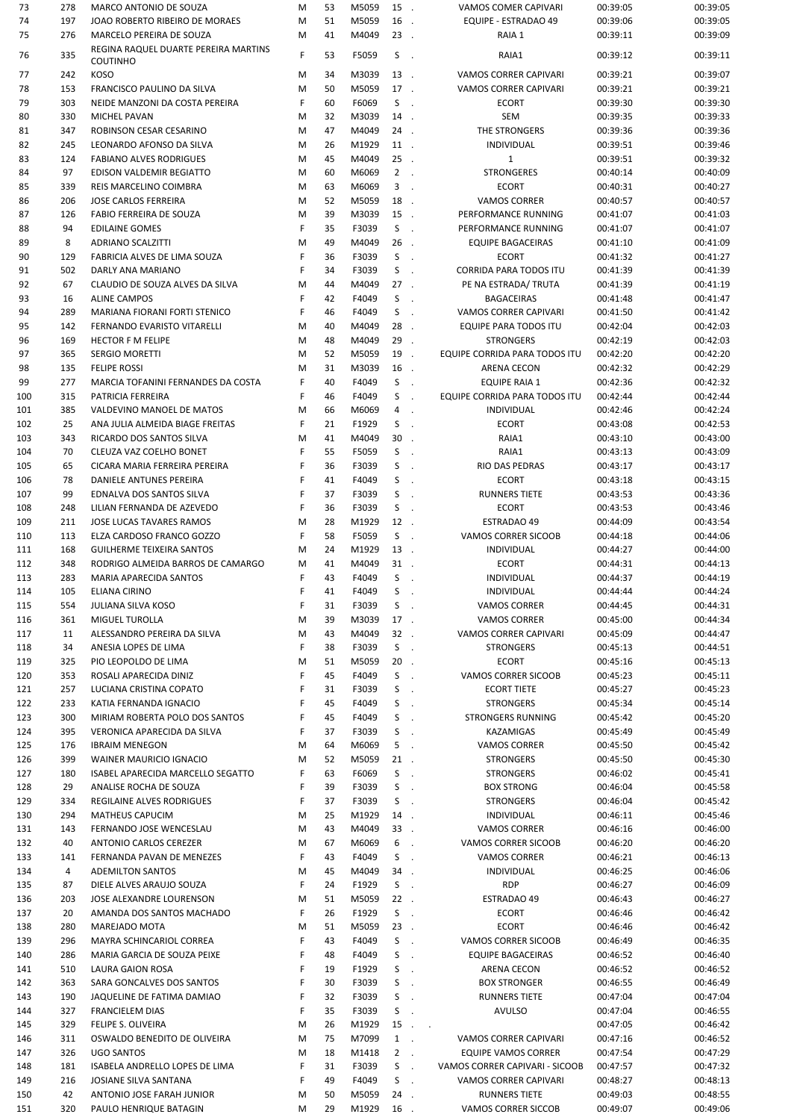| 73         | 278       | MARCO ANTONIO DE SOUZA                              | M      | 53       | M5059          | 15.        |        | <b>VAMOS COMER CAPIVARI</b>                 | 00:39:05             | 00:39:05             |
|------------|-----------|-----------------------------------------------------|--------|----------|----------------|------------|--------|---------------------------------------------|----------------------|----------------------|
| 74         | 197       | JOAO ROBERTO RIBEIRO DE MORAES                      | M      | 51       | M5059          | 16.        |        | <b>EQUIPE - ESTRADAO 49</b>                 | 00:39:06             | 00:39:05             |
| 75         | 276       | MARCELO PEREIRA DE SOUZA                            | M      | 41       | M4049          | $23$ .     |        | RAIA 1                                      | 00:39:11             | 00:39:09             |
| 76         | 335       | REGINA RAQUEL DUARTE PEREIRA MARTINS                | F      | 53       | F5059          | S          | $\sim$ | RAIA1                                       | 00:39:12             | 00:39:11             |
|            |           | <b>COUTINHO</b>                                     |        |          |                |            |        |                                             |                      |                      |
| 77         | 242       | <b>KOSO</b>                                         | M      | 34       | M3039          | 13.        |        | <b>VAMOS CORRER CAPIVARI</b>                | 00:39:21             | 00:39:07             |
| 78         | 153       | FRANCISCO PAULINO DA SILVA                          | M      | 50       | M5059          | 17.        |        | VAMOS CORRER CAPIVARI                       | 00:39:21             | 00:39:21             |
| 79         | 303       | NEIDE MANZONI DA COSTA PEREIRA                      | F      | 60       | F6069          | $S$ .      |        | <b>ECORT</b>                                | 00:39:30             | 00:39:30             |
| 80         | 330       | <b>MICHEL PAVAN</b>                                 | M      | 32       | M3039          | 14.        |        | <b>SEM</b>                                  | 00:39:35             | 00:39:33             |
| 81         | 347       | ROBINSON CESAR CESARINO                             | M      | 47       | M4049          | 24.        |        | THE STRONGERS                               | 00:39:36             | 00:39:36             |
| 82         | 245       | LEONARDO AFONSO DA SILVA                            | M      | 26       | M1929          | 11.        |        | <b>INDIVIDUAL</b>                           | 00:39:51             | 00:39:46             |
| 83         | 124       | <b>FABIANO ALVES RODRIGUES</b>                      | M      | 45       | M4049          | $25$ .     |        | $\mathbf{1}$                                | 00:39:51             | 00:39:32             |
| 84         | 97        | EDISON VALDEMIR BEGIATTO                            | M      | 60       | M6069          | $2$ .      |        | <b>STRONGERES</b>                           | 00:40:14             | 00:40:09             |
| 85         | 339       | REIS MARCELINO COIMBRA                              | M      | 63       | M6069          | $3$ .      |        | <b>ECORT</b>                                | 00:40:31             | 00:40:27             |
| 86         | 206       | JOSE CARLOS FERREIRA                                | M      | 52       | M5059          | 18.        |        | <b>VAMOS CORRER</b>                         | 00:40:57             | 00:40:57             |
| 87         | 126       | <b>FABIO FERREIRA DE SOUZA</b>                      | M      | 39       | M3039          | 15.        |        | PERFORMANCE RUNNING                         | 00:41:07             | 00:41:03             |
| 88         | 94        | <b>EDILAINE GOMES</b>                               | F      | 35       | F3039          | $S$ .      |        | PERFORMANCE RUNNING                         | 00:41:07             | 00:41:07             |
| 89         | 8         | <b>ADRIANO SCALZITTI</b>                            | M      | 49       | M4049          | 26.        |        | <b>EQUIPE BAGACEIRAS</b>                    | 00:41:10             | 00:41:09             |
| 90         | 129       | FABRICIA ALVES DE LIMA SOUZA                        | F      | 36       | F3039          | $S$ .      |        | <b>ECORT</b>                                | 00:41:32             | 00:41:27             |
| 91         | 502       | DARLY ANA MARIANO                                   | F      | 34       | F3039          | $S$ .      |        | <b>CORRIDA PARA TODOS ITU</b>               | 00:41:39             | 00:41:39             |
| 92         | 67        | CLAUDIO DE SOUZA ALVES DA SILVA                     | M      | 44       | M4049          | $27$ .     |        | PE NA ESTRADA/ TRUTA                        | 00:41:39             | 00:41:19             |
| 93         | 16        | <b>ALINE CAMPOS</b>                                 | F      | 42       | F4049          | $S$ .      |        | <b>BAGACEIRAS</b>                           | 00:41:48             | 00:41:47             |
| 94         | 289       | MARIANA FIORANI FORTI STENICO                       | F      | 46       | F4049          | $S$ .      |        | VAMOS CORRER CAPIVARI                       | 00:41:50             | 00:41:42             |
| 95         | 142       | FERNANDO EVARISTO VITARELLI                         | M      | 40       | M4049          | 28.        |        | EQUIPE PARA TODOS ITU                       | 00:42:04             | 00:42:03             |
| 96         | 169       | <b>HECTOR F M FELIPE</b>                            | M      | 48       | M4049          | 29.        |        | <b>STRONGERS</b>                            | 00:42:19             | 00:42:03             |
| 97         | 365       | <b>SERGIO MORETTI</b>                               | M      | 52       | M5059          | 19.        |        | EQUIPE CORRIDA PARA TODOS ITU               | 00:42:20             | 00:42:20             |
| 98         | 135       | <b>FELIPE ROSSI</b>                                 | M      | 31       | M3039          | 16.        |        | <b>ARENA CECON</b>                          | 00:42:32             | 00:42:29             |
| 99         | 277       | MARCIA TOFANINI FERNANDES DA COSTA                  | F      | 40       | F4049          | S.         | $\sim$ | <b>EQUIPE RAIA 1</b>                        | 00:42:36             | 00:42:32             |
| 100        | 315       | PATRICIA FERREIRA                                   | F      | 46       | F4049          | $S$ .      |        | EQUIPE CORRIDA PARA TODOS ITU               | 00:42:44             | 00:42:44             |
| 101        | 385       | VALDEVINO MANOEL DE MATOS                           | M      | 66       | M6069          | 4.         |        | <b>INDIVIDUAL</b>                           | 00:42:46             | 00:42:24             |
| 102        | 25        | ANA JULIA ALMEIDA BIAGE FREITAS                     | F      | 21       | F1929          | $S$ .      |        | <b>ECORT</b>                                | 00:43:08             | 00:42:53             |
| 103        | 343       | RICARDO DOS SANTOS SILVA                            | M      | 41       | M4049          | $30$ .     |        | RAIA1                                       | 00:43:10             | 00:43:00             |
| 104        | 70        | CLEUZA VAZ COELHO BONET                             | F      | 55       | F5059          | $S$ .      |        | RAIA1                                       | 00:43:13             | 00:43:09             |
| 105        | 65        | CICARA MARIA FERREIRA PEREIRA                       | F      | 36       | F3039          | S.         | $\sim$ | RIO DAS PEDRAS                              | 00:43:17             | 00:43:17             |
| 106        | 78        | DANIELE ANTUNES PEREIRA                             | F      | 41       | F4049          | $S$ .      |        | <b>ECORT</b>                                | 00:43:18             | 00:43:15             |
| 107        | 99        | EDNALVA DOS SANTOS SILVA                            | F      | 37       | F3039          | S          | $\sim$ | <b>RUNNERS TIETE</b>                        | 00:43:53             | 00:43:36             |
| 108        | 248       | LILIAN FERNANDA DE AZEVEDO                          | F      | 36       | F3039          | $S$ .      |        | <b>ECORT</b>                                | 00:43:53             | 00:43:46             |
| 109        | 211       |                                                     |        | 28       | M1929          | 12.        |        |                                             | 00:44:09             | 00:43:54             |
|            |           | JOSE LUCAS TAVARES RAMOS                            | M<br>F | 58       |                | $S$ .      |        | ESTRADAO 49                                 |                      |                      |
| 110        | 113       | ELZA CARDOSO FRANCO GOZZO                           |        |          | F5059          | 13.        |        | VAMOS CORRER SICOOB                         | 00:44:18             | 00:44:06             |
| 111        | 168       | <b>GUILHERME TEIXEIRA SANTOS</b>                    | M      | 24       | M1929<br>M4049 |            |        | INDIVIDUAL                                  | 00:44:27             | 00:44:00             |
| 112        | 348       | RODRIGO ALMEIDA BARROS DE CAMARGO                   | M      | 41       |                | 31.        |        | <b>ECORT</b>                                | 00:44:31             | 00:44:13             |
| 113        | 283       | MARIA APARECIDA SANTOS                              | F      | 43       | F4049          | $S$ .      |        | INDIVIDUAL                                  | 00:44:37             | 00:44:19             |
| 114        | 105       | <b>ELIANA CIRINO</b>                                | F      | 41       | F4049          | S          | $\sim$ | <b>INDIVIDUAL</b>                           | 00:44:44             | 00:44:24             |
| 115        | 554       | <b>JULIANA SILVA KOSO</b>                           | F      | 31       | F3039          | S          | $\sim$ | <b>VAMOS CORRER</b>                         | 00:44:45             | 00:44:31             |
| 116        | 361       | <b>MIGUEL TUROLLA</b>                               | M      | 39       | M3039          | 17.        |        | <b>VAMOS CORRER</b>                         | 00:45:00             | 00:44:34             |
| 117        | 11        | ALESSANDRO PEREIRA DA SILVA                         | M      | 43       | M4049          | $32$ .     |        | VAMOS CORRER CAPIVARI                       | 00:45:09             | 00:44:47             |
| 118        | 34        | ANESIA LOPES DE LIMA                                | F      | 38       | F3039          | $S$ .      |        | <b>STRONGERS</b>                            | 00:45:13             | 00:44:51             |
| 119        | 325       | PIO LEOPOLDO DE LIMA                                | M      | 51       | M5059          | $20$ .     |        | <b>ECORT</b>                                | 00:45:16             | 00:45:13             |
| 120        | 353       | ROSALI APARECIDA DINIZ                              | F      | 45       | F4049          | $S$ .      |        | VAMOS CORRER SICOOB                         | 00:45:23             | 00:45:11             |
| 121        | 257       | LUCIANA CRISTINA COPATO                             | F      | 31       | F3039          | $S$ .      |        | <b>ECORT TIETE</b>                          | 00:45:27             | 00:45:23             |
| 122        | 233       | KATIA FERNANDA IGNACIO                              | F      | 45       | F4049          | $S$ .      |        | <b>STRONGERS</b>                            | 00:45:34             | 00:45:14             |
| 123        | 300       | MIRIAM ROBERTA POLO DOS SANTOS                      | F      | 45       | F4049          | $S$ .      |        | <b>STRONGERS RUNNING</b>                    | 00:45:42             | 00:45:20             |
| 124        | 395       | VERONICA APARECIDA DA SILVA                         | F      | 37       | F3039          | $S$ .      |        | KAZAMIGAS                                   | 00:45:49             | 00:45:49             |
| 125        | 176       | <b>IBRAIM MENEGON</b>                               | M      | 64       | M6069          | $5$ .      |        | <b>VAMOS CORRER</b>                         | 00:45:50             | 00:45:42             |
| 126        | 399       | WAINER MAURICIO IGNACIO                             | M      | 52       | M5059          | $21$ .     |        | <b>STRONGERS</b>                            | 00:45:50             | 00:45:30             |
| 127        | 180       | ISABEL APARECIDA MARCELLO SEGATTO                   | F      | 63       | F6069          | $S$ .      |        | <b>STRONGERS</b>                            | 00:46:02             | 00:45:41             |
| 128        | 29        | ANALISE ROCHA DE SOUZA                              | F      | 39       | F3039          | $S$ .      |        | <b>BOX STRONG</b>                           | 00:46:04             | 00:45:58             |
| 129        | 334       | REGILAINE ALVES RODRIGUES                           | F      | 37       | F3039          | $S$ .      |        | <b>STRONGERS</b>                            | 00:46:04             | 00:45:42             |
| 130        | 294       | <b>MATHEUS CAPUCIM</b>                              | M      | 25       | M1929          | 14.        |        | INDIVIDUAL                                  | 00:46:11             | 00:45:46             |
| 131        | 143       | FERNANDO JOSE WENCESLAU                             | M      | 43       | M4049          | 33.        |        | <b>VAMOS CORRER</b>                         | 00:46:16             | 00:46:00             |
| 132        | 40        | <b>ANTONIO CARLOS CEREZER</b>                       | M      | 67       | M6069          | 6          | $\sim$ | VAMOS CORRER SICOOB                         | 00:46:20             | 00:46:20             |
| 133        | 141       | FERNANDA PAVAN DE MENEZES                           | F      | 43       | F4049          | $S$ .      |        | <b>VAMOS CORRER</b>                         | 00:46:21             | 00:46:13             |
| 134        | 4         | <b>ADEMILTON SANTOS</b>                             | M      | 45       | M4049          | 34.        |        | <b>INDIVIDUAL</b>                           | 00:46:25             | 00:46:06             |
| 135        | 87        | DIELE ALVES ARAUJO SOUZA                            | F      | 24       | F1929          | $S$ .      |        | <b>RDP</b>                                  | 00:46:27             | 00:46:09             |
| 136        | 203       | JOSE ALEXANDRE LOURENSON                            | M      | 51       | M5059          | $22$ .     |        | ESTRADAO 49                                 | 00:46:43             | 00:46:27             |
| 137        | 20        | AMANDA DOS SANTOS MACHADO                           | F      | 26       | F1929          | $S$ .      |        | <b>ECORT</b>                                | 00:46:46             | 00:46:42             |
| 138        | 280       | MAREJADO MOTA                                       | M      | 51       | M5059          | $23$ .     |        | <b>ECORT</b>                                | 00:46:46             | 00:46:42             |
| 139        | 296       | MAYRA SCHINCARIOL CORREA                            | F      | 43       | F4049          | $S$ .      |        | VAMOS CORRER SICOOB                         | 00:46:49             | 00:46:35             |
| 140        | 286       | MARIA GARCIA DE SOUZA PEIXE                         | F      | 48       | F4049          | S.         | $\sim$ | <b>EQUIPE BAGACEIRAS</b>                    | 00:46:52             | 00:46:40             |
| 141        | 510       | LAURA GAION ROSA                                    | F      | 19       | F1929          | $S$ .      |        | ARENA CECON                                 | 00:46:52             | 00:46:52             |
| 142        | 363       | SARA GONCALVES DOS SANTOS                           | F      | 30       | F3039          | $S$ .      |        | <b>BOX STRONGER</b>                         | 00:46:55             | 00:46:49             |
| 143        | 190       | JAQUELINE DE FATIMA DAMIAO                          | F      | 32       | F3039          | $S$ .      |        | RUNNERS TIETE                               | 00:47:04             | 00:47:04             |
| 144        | 327       | <b>FRANCIELEM DIAS</b>                              | F      | 35       | F3039          | $S$ .      |        | <b>AVULSO</b>                               | 00:47:04             | 00:46:55             |
| 145        | 329       | FELIPE S. OLIVEIRA                                  | M      | 26       | M1929          |            | $15$   |                                             | 00:47:05             | 00:46:42             |
| 146        | 311       | OSWALDO BENEDITO DE OLIVEIRA                        | M      | 75       | M7099          | $1$ .      |        | VAMOS CORRER CAPIVARI                       | 00:47:16             | 00:46:52             |
| 147        | 326       | <b>UGO SANTOS</b>                                   | M      | 18       | M1418          | $2$ .      |        | <b>EQUIPE VAMOS CORRER</b>                  | 00:47:54             | 00:47:29             |
| 148        | 181       | <b>ISABELA ANDRELLO LOPES DE LIMA</b>               | F      | 31       | F3039          | $S$ .      |        | VAMOS CORRER CAPIVARI - SICOOB              | 00:47:57             | 00:47:32             |
| 149        | 216       | JOSIANE SILVA SANTANA                               | F      | 49       | F4049          | $S$ .      |        | <b>VAMOS CORRER CAPIVARI</b>                | 00:48:27             | 00:48:13             |
|            |           |                                                     |        |          |                |            |        |                                             |                      |                      |
|            |           |                                                     |        |          |                |            |        |                                             |                      |                      |
| 150<br>151 | 42<br>320 | ANTONIO JOSE FARAH JUNIOR<br>PAULO HENRIQUE BATAGIN | M<br>M | 50<br>29 | M5059<br>M1929 | 24.<br>16. |        | <b>RUNNERS TIETE</b><br>VAMOS CORRER SICCOB | 00:49:03<br>00:49:07 | 00:48:55<br>00:49:06 |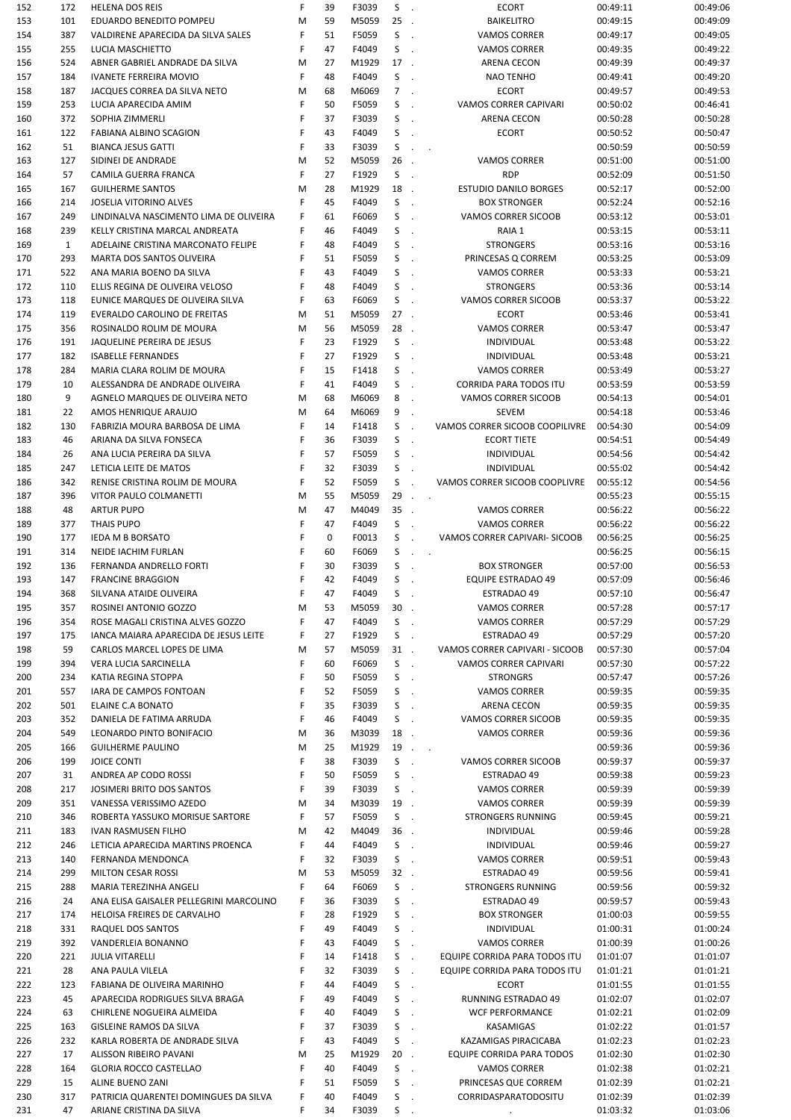| 152 | 172          | <b>HELENA DOS REIS</b>                  | F | 39 | F3039 | S<br>$\mathcal{L}_{\mathbf{z}}$   | <b>ECORT</b>                     | 00:49:11 | 00:49:06 |
|-----|--------------|-----------------------------------------|---|----|-------|-----------------------------------|----------------------------------|----------|----------|
| 153 | 101          | EDUARDO BENEDITO POMPEU                 | M | 59 | M5059 | 25                                | <b>BAIKELITRO</b>                | 00:49:15 | 00:49:09 |
| 154 | 387          | VALDIRENE APARECIDA DA SILVA SALES      | F | 51 | F5059 | S<br>$\mathcal{L}_{\mathbf{r}}$   | <b>VAMOS CORRER</b>              | 00:49:17 | 00:49:05 |
| 155 | 255          | LUCIA MASCHIETTO                        | F | 47 | F4049 | S<br>$\overline{\phantom{a}}$     | <b>VAMOS CORRER</b>              | 00:49:35 | 00:49:22 |
| 156 | 524          | ABNER GABRIEL ANDRADE DA SILVA          | M | 27 | M1929 | 17<br>$\mathcal{L}_{\mathbf{r}}$  | ARENA CECON                      | 00:49:39 | 00:49:37 |
| 157 | 184          | <b>IVANETE FERREIRA MOVIO</b>           | F | 48 | F4049 | S<br>$\mathcal{L}_{\mathbf{r}}$   | <b>NAO TENHO</b>                 | 00:49:41 | 00:49:20 |
| 158 | 187          | JACQUES CORREA DA SILVA NETO            | M | 68 | M6069 | $\overline{7}$                    | <b>ECORT</b>                     | 00:49:57 | 00:49:53 |
| 159 | 253          | LUCIA APARECIDA AMIM                    | F | 50 | F5059 | S<br>$\ddot{\phantom{a}}$         | VAMOS CORRER CAPIVARI            | 00:50:02 | 00:46:41 |
|     |              |                                         | F |    |       |                                   |                                  |          |          |
| 160 | 372          | SOPHIA ZIMMERLI                         |   | 37 | F3039 | S<br>$\mathcal{L}$                | <b>ARENA CECON</b>               | 00:50:28 | 00:50:28 |
| 161 | 122          | FABIANA ALBINO SCAGION                  | F | 43 | F4049 | S                                 | <b>ECORT</b>                     | 00:50:52 | 00:50:47 |
| 162 | 51           | <b>BIANCA JESUS GATTI</b>               | F | 33 | F3039 | S                                 | $\mathcal{L}^{\text{max}}$       | 00:50:59 | 00:50:59 |
| 163 | 127          | SIDINEI DE ANDRADE                      | M | 52 | M5059 | 26<br>$\overline{\phantom{a}}$    | <b>VAMOS CORRER</b>              | 00:51:00 | 00:51:00 |
| 164 | 57           | CAMILA GUERRA FRANCA                    | F | 27 | F1929 | S<br>$\mathcal{L}_{\mathcal{A}}$  | <b>RDP</b>                       | 00:52:09 | 00:51:50 |
| 165 | 167          | <b>GUILHERME SANTOS</b>                 | M | 28 | M1929 | 18.                               | <b>ESTUDIO DANILO BORGES</b>     | 00:52:17 | 00:52:00 |
| 166 | 214          | JOSELIA VITORINO ALVES                  | F | 45 | F4049 | S<br>$\sim$                       | <b>BOX STRONGER</b>              | 00:52:24 | 00:52:16 |
| 167 | 249          | LINDINALVA NASCIMENTO LIMA DE OLIVEIRA  | F | 61 | F6069 | S<br>$\overline{\phantom{a}}$     | VAMOS CORRER SICOOB              | 00:53:12 | 00:53:01 |
| 168 | 239          | KELLY CRISTINA MARCAL ANDREATA          | F | 46 | F4049 | S<br>$\ddot{\phantom{a}}$         | RAIA 1                           | 00:53:15 | 00:53:11 |
| 169 | $\mathbf{1}$ | ADELAINE CRISTINA MARCONATO FELIPE      | F | 48 | F4049 | S<br>$\mathcal{L}_{\mathbf{r}}$   | <b>STRONGERS</b>                 | 00:53:16 | 00:53:16 |
| 170 | 293          | MARTA DOS SANTOS OLIVEIRA               | F | 51 | F5059 | S<br>$\ddot{\phantom{a}}$         | PRINCESAS Q CORREM               | 00:53:25 | 00:53:09 |
|     |              |                                         |   |    |       |                                   |                                  |          |          |
| 171 | 522          | ANA MARIA BOENO DA SILVA                | F | 43 | F4049 | S<br>$\overline{\phantom{a}}$     | <b>VAMOS CORRER</b>              | 00:53:33 | 00:53:21 |
| 172 | 110          | ELLIS REGINA DE OLIVEIRA VELOSO         | F | 48 | F4049 | S<br>$\mathcal{L}_{\mathbf{z}}$   | <b>STRONGERS</b>                 | 00:53:36 | 00:53:14 |
| 173 | 118          | EUNICE MARQUES DE OLIVEIRA SILVA        | F | 63 | F6069 | S<br>$\ddot{\phantom{a}}$         | VAMOS CORRER SICOOB              | 00:53:37 | 00:53:22 |
| 174 | 119          | EVERALDO CAROLINO DE FREITAS            | M | 51 | M5059 | $27$ .                            | <b>ECORT</b>                     | 00:53:46 | 00:53:41 |
| 175 | 356          | ROSINALDO ROLIM DE MOURA                | M | 56 | M5059 | 28.                               | <b>VAMOS CORRER</b>              | 00:53:47 | 00:53:47 |
| 176 | 191          | JAQUELINE PEREIRA DE JESUS              | F | 23 | F1929 | S<br>$\mathcal{L}_{\mathbf{r}}$   | INDIVIDUAL                       | 00:53:48 | 00:53:22 |
| 177 | 182          | <b>ISABELLE FERNANDES</b>               | F | 27 | F1929 | S<br>$\mathcal{L}_{\mathbf{r}}$   | INDIVIDUAL                       | 00:53:48 | 00:53:21 |
| 178 | 284          | MARIA CLARA ROLIM DE MOURA              | F | 15 | F1418 | S                                 | <b>VAMOS CORRER</b>              | 00:53:49 | 00:53:27 |
| 179 | 10           | ALESSANDRA DE ANDRADE OLIVEIRA          | F | 41 | F4049 | S<br>$\ddot{\phantom{a}}$         | <b>CORRIDA PARA TODOS ITU</b>    | 00:53:59 | 00:53:59 |
| 180 | 9            |                                         | M | 68 | M6069 | 8                                 | VAMOS CORRER SICOOB              | 00:54:13 | 00:54:01 |
|     |              | AGNELO MARQUES DE OLIVEIRA NETO         |   |    |       | $\mathcal{L}$                     |                                  |          |          |
| 181 | 22           | AMOS HENRIQUE ARAUJO                    | M | 64 | M6069 | 9<br>$\mathcal{L}$                | <b>SEVEM</b>                     | 00:54:18 | 00:53:46 |
| 182 | 130          | FABRIZIA MOURA BARBOSA DE LIMA          | F | 14 | F1418 | S<br>$\mathbf{r}$                 | VAMOS CORRER SICOOB COOPILIVRE   | 00:54:30 | 00:54:09 |
| 183 | 46           | ARIANA DA SILVA FONSECA                 | F | 36 | F3039 | S<br>$\ddot{\phantom{a}}$         | <b>ECORT TIETE</b>               | 00:54:51 | 00:54:49 |
| 184 | 26           | ANA LUCIA PEREIRA DA SILVA              | F | 57 | F5059 | S<br>$\ddot{\phantom{a}}$         | <b>INDIVIDUAL</b>                | 00:54:56 | 00:54:42 |
| 185 | 247          | LETICIA LEITE DE MATOS                  | F | 32 | F3039 | S<br>$\mathcal{L}$                | <b>INDIVIDUAL</b>                | 00:55:02 | 00:54:42 |
| 186 | 342          | RENISE CRISTINA ROLIM DE MOURA          | F | 52 | F5059 | S<br>$\ddot{\phantom{a}}$         | VAMOS CORRER SICOOB COOPLIVRE    | 00:55:12 | 00:54:56 |
| 187 | 396          | VITOR PAULO COLMANETTI                  | M | 55 | M5059 | $29$                              |                                  | 00:55:23 | 00:55:15 |
| 188 | 48           | <b>ARTUR PUPO</b>                       | M | 47 | M4049 | 35<br>$\mathcal{L}_{\mathcal{A}}$ | <b>VAMOS CORRER</b>              | 00:56:22 | 00:56:22 |
|     |              |                                         | F | 47 |       | S                                 |                                  |          |          |
| 189 | 377          | <b>THAIS PUPO</b>                       |   |    | F4049 |                                   | <b>VAMOS CORRER</b>              | 00:56:22 | 00:56:22 |
| 190 | 177          | <b>IEDA M B BORSATO</b>                 | F | 0  | F0013 | S<br>$\sim$                       | VAMOS CORRER CAPIVARI- SICOOB    | 00:56:25 | 00:56:25 |
| 191 | 314          | NEIDE IACHIM FURLAN                     | F | 60 | F6069 | S                                 | $\sim$<br>$\ddot{\phantom{a}}$   | 00:56:25 | 00:56:15 |
| 192 | 136          | FERNANDA ANDRELLO FORTI                 | F | 30 | F3039 | S                                 | <b>BOX STRONGER</b>              | 00:57:00 | 00:56:53 |
| 193 | 147          | <b>FRANCINE BRAGGION</b>                | F | 42 | F4049 | S                                 | <b>EQUIPE ESTRADAO 49</b>        | 00:57:09 | 00:56:46 |
| 194 | 368          | SILVANA ATAIDE OLIVEIRA                 | F | 47 | F4049 | S                                 | ESTRADAO 49                      | 00:57:10 | 00:56:47 |
| 195 | 357          | ROSINEI ANTONIO GOZZO                   | M | 53 | M5059 | $30$ .                            | <b>VAMOS CORRER</b>              | 00:57:28 | 00:57:17 |
| 196 | 354          | ROSE MAGALI CRISTINA ALVES GOZZO        | F | 47 | F4049 | S<br>$\sim$                       | VAMOS CORRER                     | 00:57:29 | 00:57:29 |
| 197 | 175          | IANCA MAIARA APARECIDA DE JESUS LEITE   | F | 27 | F1929 | S<br>$\mathcal{L}_{\mathbf{a}}$   | ESTRADAO 49                      | 00:57:29 | 00:57:20 |
| 198 | 59           | CARLOS MARCEL LOPES DE LIMA             | M | 57 | M5059 | $31$ .                            | VAMOS CORRER CAPIVARI - SICOOB   | 00:57:30 | 00:57:04 |
| 199 | 394          | VERA LUCIA SARCINELLA                   | F | 60 | F6069 | S.<br>$\sim$                      | VAMOS CORRER CAPIVARI            | 00:57:30 | 00:57:22 |
|     | 234          | KATIA REGINA STOPPA                     | F | 50 | F5059 | S                                 | <b>STRONGRS</b>                  | 00:57:47 | 00:57:26 |
| 200 |              |                                         |   |    |       | $\sim$                            |                                  |          |          |
| 201 | 557          | IARA DE CAMPOS FONTOAN                  | F | 52 | F5059 | S<br>$\mathcal{L}_{\mathcal{A}}$  | <b>VAMOS CORRER</b>              | 00:59:35 | 00:59:35 |
| 202 | 501          | ELAINE C.A BONATO                       | F | 35 | F3039 | S<br>$\sim$                       | ARENA CECON                      | 00:59:35 | 00:59:35 |
| 203 | 352          | DANIELA DE FATIMA ARRUDA                | F | 46 | F4049 | S<br>$\sim$                       | VAMOS CORRER SICOOB              | 00:59:35 | 00:59:35 |
| 204 | 549          | LEONARDO PINTO BONIFACIO                | M | 36 | M3039 | 18.                               | <b>VAMOS CORRER</b>              | 00:59:36 | 00:59:36 |
| 205 | 166          | <b>GUILHERME PAULINO</b>                | M | 25 | M1929 |                                   | $19$                             | 00:59:36 | 00:59:36 |
| 206 | 199          | <b>JOICE CONTI</b>                      | F | 38 | F3039 | S<br>$\sim$                       | VAMOS CORRER SICOOB              | 00:59:37 | 00:59:37 |
| 207 | 31           | ANDREA AP CODO ROSSI                    | F | 50 | F5059 | S<br>$\mathbb{R}$                 | ESTRADAO 49                      | 00:59:38 | 00:59:23 |
| 208 | 217          | JOSIMERI BRITO DOS SANTOS               | F | 39 | F3039 | S<br>$\mathcal{L}$                | VAMOS CORRER                     | 00:59:39 | 00:59:39 |
| 209 | 351          | VANESSA VERISSIMO AZEDO                 | M | 34 | M3039 | 19.                               | <b>VAMOS CORRER</b>              | 00:59:39 | 00:59:39 |
| 210 | 346          | ROBERTA YASSUKO MORISUE SARTORE         | F | 57 | F5059 | $S$ .                             | <b>STRONGERS RUNNING</b>         | 00:59:45 | 00:59:21 |
|     |              |                                         |   |    |       | 36.                               |                                  |          |          |
| 211 | 183          | IVAN RASMUSEN FILHO                     | M | 42 | M4049 |                                   | INDIVIDUAL                       | 00:59:46 | 00:59:28 |
| 212 | 246          | LETICIA APARECIDA MARTINS PROENCA       | F | 44 | F4049 | S.<br>$\sim$                      | <b>INDIVIDUAL</b>                | 00:59:46 | 00:59:27 |
| 213 | 140          | FERNANDA MENDONCA                       | F | 32 | F3039 | S<br>$\sim$                       | <b>VAMOS CORRER</b>              | 00:59:51 | 00:59:43 |
| 214 | 299          | <b>MILTON CESAR ROSSI</b>               | M | 53 | M5059 | $32$ .                            | ESTRADAO 49                      | 00:59:56 | 00:59:41 |
| 215 | 288          | MARIA TEREZINHA ANGELI                  | F | 64 | F6069 | $S$ .                             | <b>STRONGERS RUNNING</b>         | 00:59:56 | 00:59:32 |
| 216 | 24           | ANA ELISA GAISALER PELLEGRINI MARCOLINO | F | 36 | F3039 | S.<br>$\sim$                      | ESTRADAO 49                      | 00:59:57 | 00:59:43 |
| 217 | 174          | HELOISA FREIRES DE CARVALHO             | F | 28 | F1929 | S.<br>$\sim$                      | <b>BOX STRONGER</b>              | 01:00:03 | 00:59:55 |
| 218 | 331          | RAQUEL DOS SANTOS                       | F | 49 | F4049 | S<br>$\sim$                       | INDIVIDUAL                       | 01:00:31 | 01:00:24 |
| 219 | 392          | VANDERLEIA BONANNO                      | F | 43 | F4049 | S.<br>$\sim$                      | <b>VAMOS CORRER</b>              | 01:00:39 | 01:00:26 |
| 220 | 221          | <b>JULIA VITARELLI</b>                  | F | 14 | F1418 | $S$ .                             | EQUIPE CORRIDA PARA TODOS ITU    | 01:01:07 | 01:01:07 |
|     |              |                                         |   |    |       |                                   |                                  |          |          |
| 221 | 28           | ANA PAULA VILELA                        | F | 32 | F3039 | $S$ .                             | EQUIPE CORRIDA PARA TODOS ITU    | 01:01:21 | 01:01:21 |
| 222 | 123          | FABIANA DE OLIVEIRA MARINHO             | F | 44 | F4049 | S<br>$\sim$                       | <b>ECORT</b>                     | 01:01:55 | 01:01:55 |
| 223 | 45           | APARECIDA RODRIGUES SILVA BRAGA         | F | 49 | F4049 | S.<br>$\sim$                      | RUNNING ESTRADAO 49              | 01:02:07 | 01:02:07 |
| 224 | 63           | CHIRLENE NOGUEIRA ALMEIDA               | F | 40 | F4049 | S<br>$\mathcal{L}_{\mathbf{r}}$   | <b>WCF PERFORMANCE</b>           | 01:02:21 | 01:02:09 |
| 225 | 163          | GISLEINE RAMOS DA SILVA                 | F | 37 | F3039 | S<br>$\sim$                       | <b>KASAMIGAS</b>                 | 01:02:22 | 01:01:57 |
| 226 | 232          | KARLA ROBERTA DE ANDRADE SILVA          | F | 43 | F4049 | $S$ .                             | KAZAMIGAS PIRACICABA             | 01:02:23 | 01:02:23 |
| 227 | 17           | <b>ALISSON RIBEIRO PAVANI</b>           | M | 25 | M1929 | $20$ .                            | <b>EQUIPE CORRIDA PARA TODOS</b> | 01:02:30 | 01:02:30 |
| 228 | 164          | <b>GLORIA ROCCO CASTELLAO</b>           | F | 40 | F4049 | S<br>$\sim$                       | <b>VAMOS CORRER</b>              | 01:02:38 | 01:02:21 |
| 229 | 15           | ALINE BUENO ZANI                        | F | 51 | F5059 | S<br>$\sim$                       | PRINCESAS QUE CORREM             | 01:02:39 | 01:02:21 |
| 230 | 317          | PATRICIA QUARENTEI DOMINGUES DA SILVA   | F | 40 | F4049 | S<br>$\sim$                       | CORRIDASPARATODOSITU             | 01:02:39 | 01:02:39 |
|     |              |                                         |   |    |       |                                   |                                  |          |          |
| 231 | 47           | ARIANE CRISTINA DA SILVA                | F | 34 | F3039 | $S$ .                             |                                  | 01:03:32 | 01:03:06 |